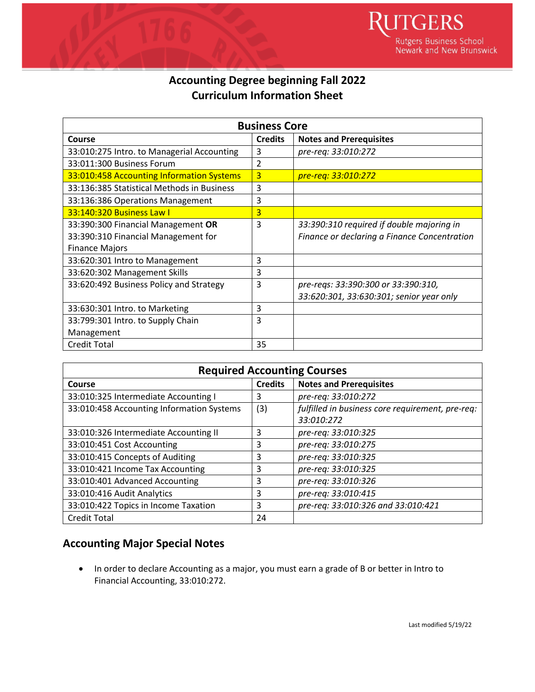

## **Accounting Degree beginning Fall 2022 Curriculum Information Sheet**

| <b>Business Core</b>                       |                |                                              |  |  |
|--------------------------------------------|----------------|----------------------------------------------|--|--|
| Course                                     | <b>Credits</b> | <b>Notes and Prerequisites</b>               |  |  |
| 33:010:275 Intro. to Managerial Accounting | 3              | pre-req: 33:010:272                          |  |  |
| 33:011:300 Business Forum                  | 2              |                                              |  |  |
| 33:010:458 Accounting Information Systems  | 3              | pre-req: 33:010:272                          |  |  |
| 33:136:385 Statistical Methods in Business | 3              |                                              |  |  |
| 33:136:386 Operations Management           | 3              |                                              |  |  |
| 33:140:320 Business Law I                  | 3              |                                              |  |  |
| 33:390:300 Financial Management OR         | 3              | 33:390:310 required if double majoring in    |  |  |
| 33:390:310 Financial Management for        |                | Finance or declaring a Finance Concentration |  |  |
| <b>Finance Majors</b>                      |                |                                              |  |  |
| 33:620:301 Intro to Management             | 3              |                                              |  |  |
| 33:620:302 Management Skills               | 3              |                                              |  |  |
| 33:620:492 Business Policy and Strategy    | 3              | pre-reqs: 33:390:300 or 33:390:310,          |  |  |
|                                            |                | 33:620:301, 33:630:301; senior year only     |  |  |
| 33:630:301 Intro. to Marketing             | 3              |                                              |  |  |
| 33:799:301 Intro. to Supply Chain          | 3              |                                              |  |  |
| Management                                 |                |                                              |  |  |
| <b>Credit Total</b>                        | 35             |                                              |  |  |

| <b>Required Accounting Courses</b>        |                |                                                  |  |  |
|-------------------------------------------|----------------|--------------------------------------------------|--|--|
| Course                                    | <b>Credits</b> | <b>Notes and Prerequisites</b>                   |  |  |
| 33:010:325 Intermediate Accounting I      | 3              | pre-req: 33:010:272                              |  |  |
| 33:010:458 Accounting Information Systems | (3)            | fulfilled in business core requirement, pre-req: |  |  |
|                                           |                | 33:010:272                                       |  |  |
| 33:010:326 Intermediate Accounting II     | 3              | pre-req: 33:010:325                              |  |  |
| 33:010:451 Cost Accounting                | 3              | pre-req: 33:010:275                              |  |  |
| 33:010:415 Concepts of Auditing           | 3              | pre-req: 33:010:325                              |  |  |
| 33:010:421 Income Tax Accounting          | 3              | pre-req: 33:010:325                              |  |  |
| 33:010:401 Advanced Accounting            | 3              | pre-req: 33:010:326                              |  |  |
| 33:010:416 Audit Analytics                | 3              | pre-reg: 33:010:415                              |  |  |
| 33:010:422 Topics in Income Taxation      | 3              | pre-req: 33:010:326 and 33:010:421               |  |  |
| <b>Credit Total</b>                       | 24             |                                                  |  |  |

## **Accounting Major Special Notes**

• In order to declare Accounting as a major, you must earn a grade of B or better in Intro to Financial Accounting, 33:010:272.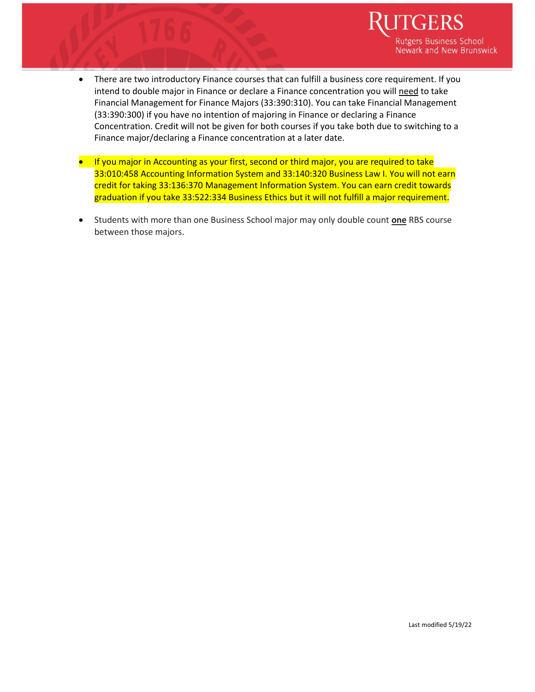

- There are two introductory Finance courses that can fulfill a business core requirement. If you intend to double major in Finance or declare a Finance concentration you will need to take Financial Management for Finance Majors (33:390:310). You can take Financial Management (33:390:300) if you have no intention of majoring in Finance or declaring a Finance Concentration. Credit will not be given for both courses if you take both due to switching to a Finance major/declaring a Finance concentration at a later date.
- If you major in Accounting as your first, second or third major, you are required to take 33:010:458 Accounting Information System and 33:140:320 Business Law I. You will not earn credit for taking 33:136:370 Management Information System. You can earn credit towards graduation if you take 33:522:334 Business Ethics but it will not fulfill a major requirement.
- Students with more than one Business School major may only double count **one** RBS course between those majors.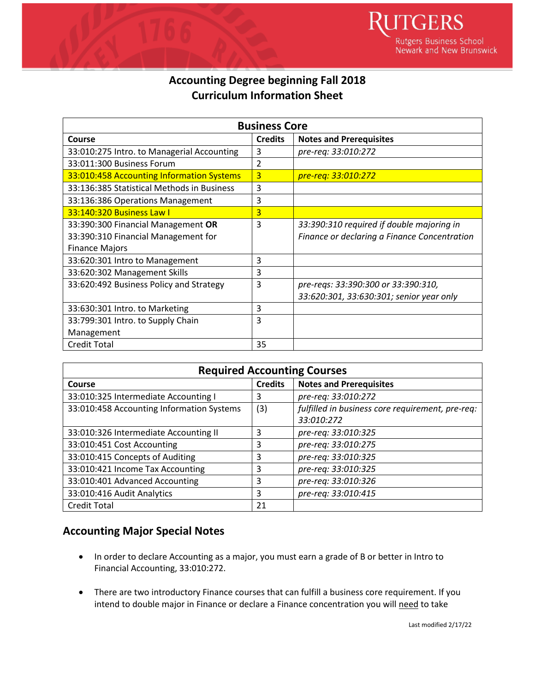

## **Accounting Degree beginning Fall 2018 Curriculum Information Sheet**

| <b>Business Core</b>                       |                |                                              |  |  |
|--------------------------------------------|----------------|----------------------------------------------|--|--|
| Course                                     | <b>Credits</b> | <b>Notes and Prerequisites</b>               |  |  |
| 33:010:275 Intro. to Managerial Accounting | 3              | pre-req: 33:010:272                          |  |  |
| 33:011:300 Business Forum                  | 2              |                                              |  |  |
| 33:010:458 Accounting Information Systems  | 3              | pre-req: 33:010:272                          |  |  |
| 33:136:385 Statistical Methods in Business | 3              |                                              |  |  |
| 33:136:386 Operations Management           | 3              |                                              |  |  |
| 33:140:320 Business Law I                  | 3              |                                              |  |  |
| 33:390:300 Financial Management OR         | 3              | 33:390:310 required if double majoring in    |  |  |
| 33:390:310 Financial Management for        |                | Finance or declaring a Finance Concentration |  |  |
| <b>Finance Majors</b>                      |                |                                              |  |  |
| 33:620:301 Intro to Management             | 3              |                                              |  |  |
| 33:620:302 Management Skills               | 3              |                                              |  |  |
| 33:620:492 Business Policy and Strategy    | 3              | pre-reqs: 33:390:300 or 33:390:310,          |  |  |
|                                            |                | 33:620:301, 33:630:301; senior year only     |  |  |
| 33:630:301 Intro. to Marketing             | 3              |                                              |  |  |
| 33:799:301 Intro. to Supply Chain          | 3              |                                              |  |  |
| Management                                 |                |                                              |  |  |
| <b>Credit Total</b>                        | 35             |                                              |  |  |

| <b>Required Accounting Courses</b>        |                |                                                  |  |  |
|-------------------------------------------|----------------|--------------------------------------------------|--|--|
| Course                                    | <b>Credits</b> | <b>Notes and Prerequisites</b>                   |  |  |
| 33:010:325 Intermediate Accounting I      | 3              | pre-req: 33:010:272                              |  |  |
| 33:010:458 Accounting Information Systems | (3)            | fulfilled in business core requirement, pre-req: |  |  |
|                                           |                | 33:010:272                                       |  |  |
| 33:010:326 Intermediate Accounting II     | 3              | pre-req: 33:010:325                              |  |  |
| 33:010:451 Cost Accounting                | 3              | pre-req: 33:010:275                              |  |  |
| 33:010:415 Concepts of Auditing           | 3              | pre-req: 33:010:325                              |  |  |
| 33:010:421 Income Tax Accounting          | 3              | pre-req: 33:010:325                              |  |  |
| 33:010:401 Advanced Accounting            | 3              | pre-req: 33:010:326                              |  |  |
| 33:010:416 Audit Analytics                | 3              | pre-req: 33:010:415                              |  |  |
| <b>Credit Total</b>                       | 21             |                                                  |  |  |

## **Accounting Major Special Notes**

- In order to declare Accounting as a major, you must earn a grade of B or better in Intro to Financial Accounting, 33:010:272.
- There are two introductory Finance courses that can fulfill a business core requirement. If you intend to double major in Finance or declare a Finance concentration you will need to take